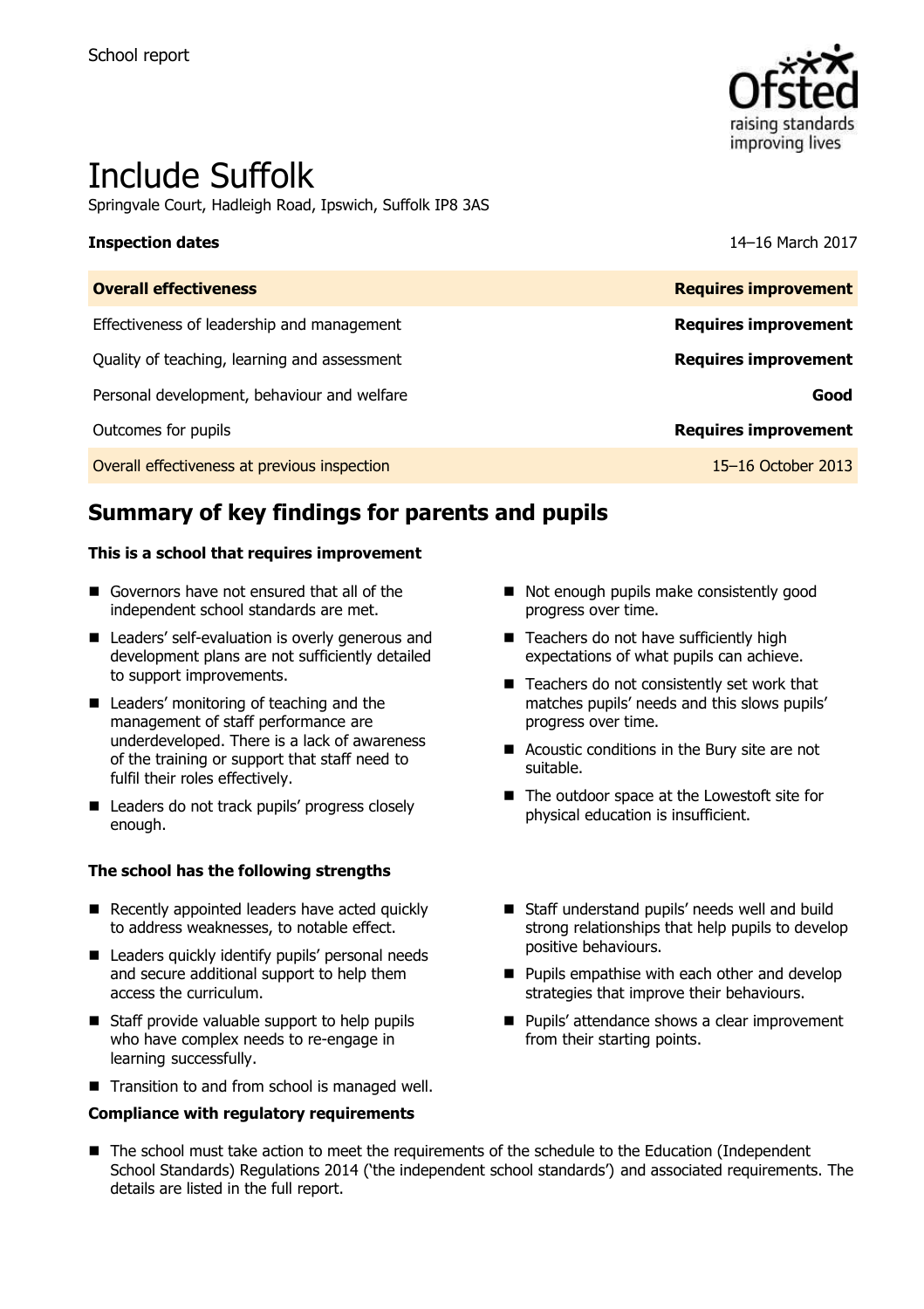

# Include Suffolk

Springvale Court, Hadleigh Road, Ipswich, Suffolk IP8 3AS

#### **Inspection dates** 14–16 March 2017

| <b>Overall effectiveness</b>                 | <b>Requires improvement</b> |
|----------------------------------------------|-----------------------------|
| Effectiveness of leadership and management   | <b>Requires improvement</b> |
| Quality of teaching, learning and assessment | <b>Requires improvement</b> |
| Personal development, behaviour and welfare  | Good                        |
| Outcomes for pupils                          | <b>Requires improvement</b> |
| Overall effectiveness at previous inspection | 15–16 October 2013          |

# **Summary of key findings for parents and pupils**

#### **This is a school that requires improvement**

- Governors have not ensured that all of the independent school standards are met.
- Leaders' self-evaluation is overly generous and development plans are not sufficiently detailed to support improvements.
- Leaders' monitoring of teaching and the management of staff performance are underdeveloped. There is a lack of awareness of the training or support that staff need to fulfil their roles effectively.
- Leaders do not track pupils' progress closely enough.

#### **The school has the following strengths**

- Recently appointed leaders have acted quickly to address weaknesses, to notable effect.
- **Leaders quickly identify pupils' personal needs** and secure additional support to help them access the curriculum.
- Staff provide valuable support to help pupils who have complex needs to re-engage in learning successfully.
- Transition to and from school is managed well.

#### **Compliance with regulatory requirements**

- Not enough pupils make consistently good progress over time.
- Teachers do not have sufficiently high expectations of what pupils can achieve.
- $\blacksquare$  Teachers do not consistently set work that matches pupils' needs and this slows pupils' progress over time.
- Acoustic conditions in the Bury site are not suitable.
- The outdoor space at the Lowestoft site for physical education is insufficient.
- Staff understand pupils' needs well and build strong relationships that help pupils to develop positive behaviours.
- $\blacksquare$  Pupils empathise with each other and develop strategies that improve their behaviours.
- Pupils' attendance shows a clear improvement from their starting points.
- The school must take action to meet the requirements of the schedule to the Education (Independent School Standards) Regulations 2014 ('the independent school standards') and associated requirements. The details are listed in the full report.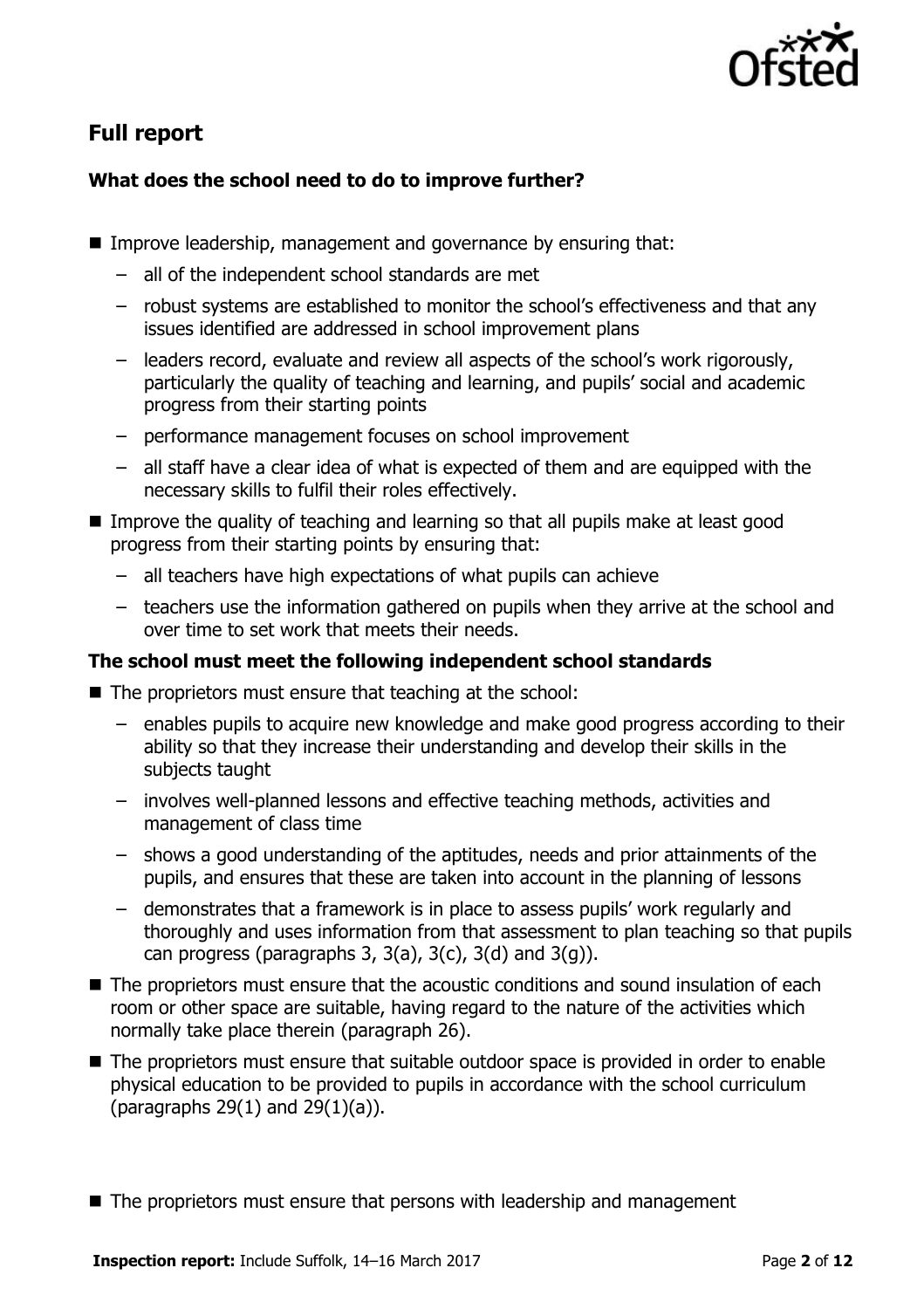

# **Full report**

### **What does the school need to do to improve further?**

- **I** Improve leadership, management and governance by ensuring that:
	- all of the independent school standards are met
	- robust systems are established to monitor the school's effectiveness and that any issues identified are addressed in school improvement plans
	- leaders record, evaluate and review all aspects of the school's work rigorously, particularly the quality of teaching and learning, and pupils' social and academic progress from their starting points
	- performance management focuses on school improvement
	- all staff have a clear idea of what is expected of them and are equipped with the necessary skills to fulfil their roles effectively.
- Improve the quality of teaching and learning so that all pupils make at least good progress from their starting points by ensuring that:
	- all teachers have high expectations of what pupils can achieve
	- teachers use the information gathered on pupils when they arrive at the school and over time to set work that meets their needs.

#### **The school must meet the following independent school standards**

- $\blacksquare$  The proprietors must ensure that teaching at the school:
	- enables pupils to acquire new knowledge and make good progress according to their ability so that they increase their understanding and develop their skills in the subjects taught
	- involves well-planned lessons and effective teaching methods, activities and management of class time
	- shows a good understanding of the aptitudes, needs and prior attainments of the pupils, and ensures that these are taken into account in the planning of lessons
	- demonstrates that a framework is in place to assess pupils' work regularly and thoroughly and uses information from that assessment to plan teaching so that pupils can progress (paragraphs  $3, 3(a), 3(c), 3(d)$  and  $3(q)$ ).
- The proprietors must ensure that the acoustic conditions and sound insulation of each room or other space are suitable, having regard to the nature of the activities which normally take place therein (paragraph 26).
- The proprietors must ensure that suitable outdoor space is provided in order to enable physical education to be provided to pupils in accordance with the school curriculum (paragraphs 29(1) and 29(1)(a)).
- $\blacksquare$  The proprietors must ensure that persons with leadership and management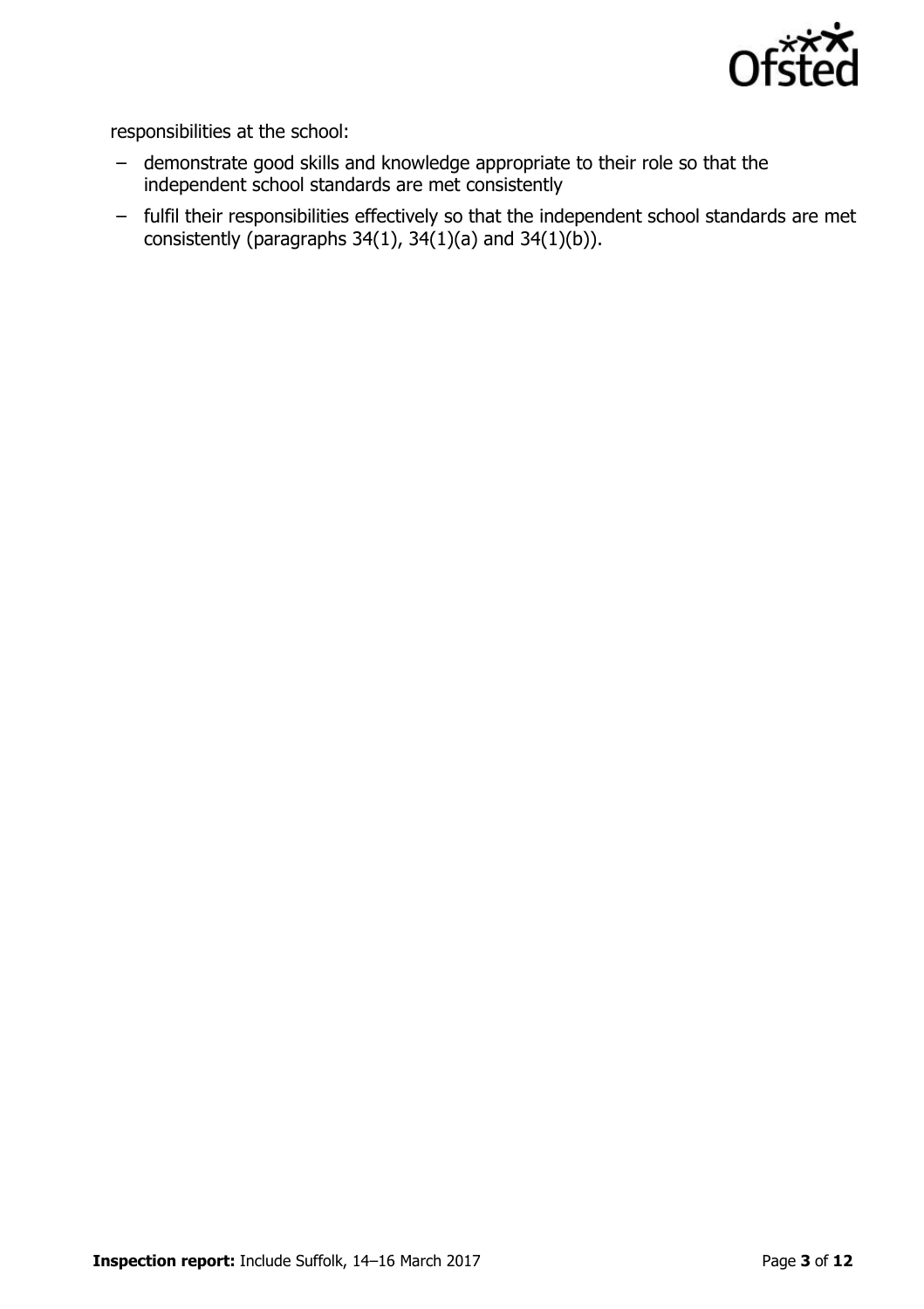

responsibilities at the school:

- demonstrate good skills and knowledge appropriate to their role so that the independent school standards are met consistently
- fulfil their responsibilities effectively so that the independent school standards are met consistently (paragraphs  $34(1)$ ,  $34(1)(a)$  and  $34(1)(b)$ ).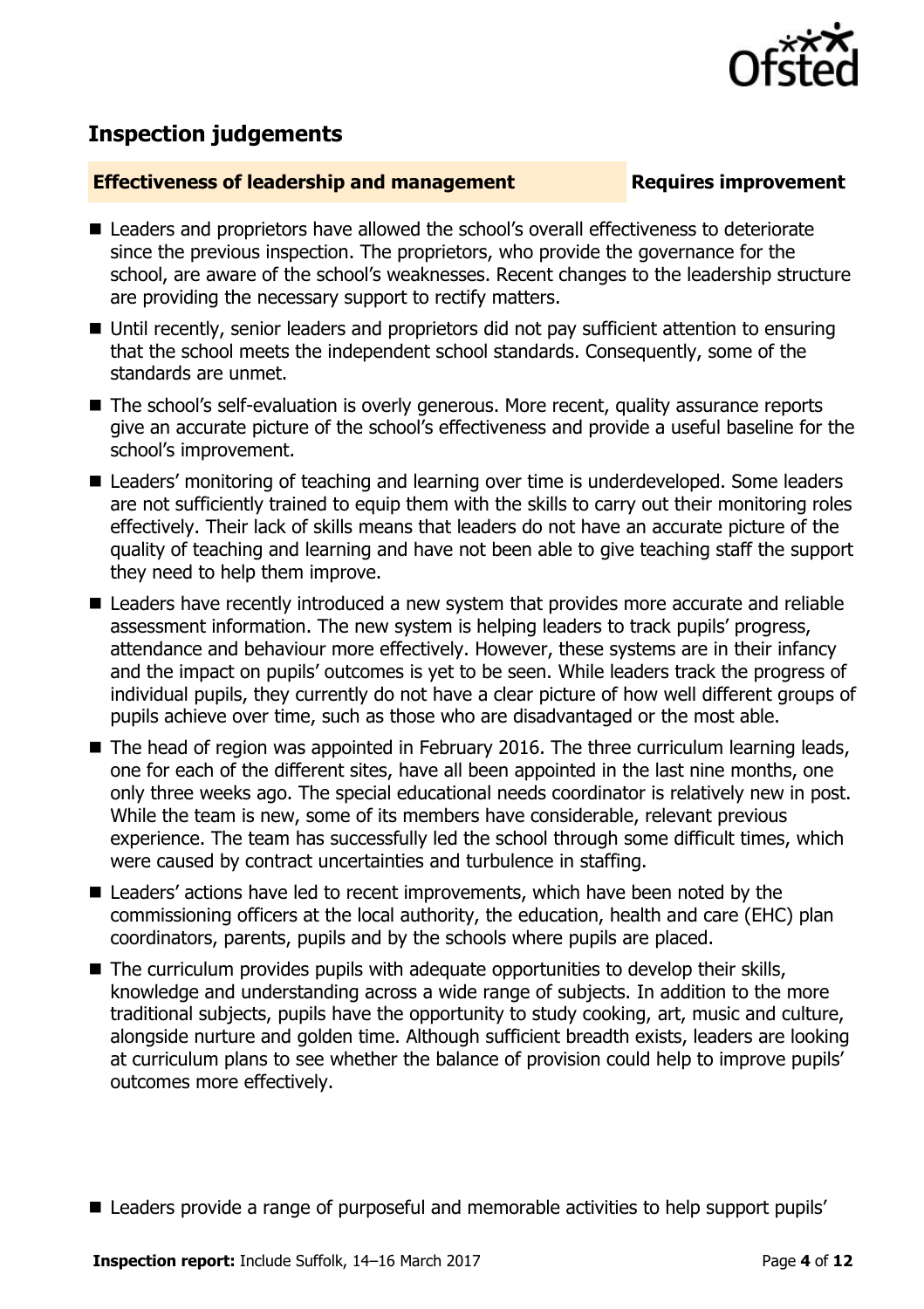

## **Inspection judgements**

#### **Effectiveness of leadership and management Requires improvement**

- Leaders and proprietors have allowed the school's overall effectiveness to deteriorate since the previous inspection. The proprietors, who provide the governance for the school, are aware of the school's weaknesses. Recent changes to the leadership structure are providing the necessary support to rectify matters.
- Until recently, senior leaders and proprietors did not pay sufficient attention to ensuring that the school meets the independent school standards. Consequently, some of the standards are unmet.
- The school's self-evaluation is overly generous. More recent, quality assurance reports give an accurate picture of the school's effectiveness and provide a useful baseline for the school's improvement.
- Leaders' monitoring of teaching and learning over time is underdeveloped. Some leaders are not sufficiently trained to equip them with the skills to carry out their monitoring roles effectively. Their lack of skills means that leaders do not have an accurate picture of the quality of teaching and learning and have not been able to give teaching staff the support they need to help them improve.
- Leaders have recently introduced a new system that provides more accurate and reliable assessment information. The new system is helping leaders to track pupils' progress, attendance and behaviour more effectively. However, these systems are in their infancy and the impact on pupils' outcomes is yet to be seen. While leaders track the progress of individual pupils, they currently do not have a clear picture of how well different groups of pupils achieve over time, such as those who are disadvantaged or the most able.
- The head of region was appointed in February 2016. The three curriculum learning leads, one for each of the different sites, have all been appointed in the last nine months, one only three weeks ago. The special educational needs coordinator is relatively new in post. While the team is new, some of its members have considerable, relevant previous experience. The team has successfully led the school through some difficult times, which were caused by contract uncertainties and turbulence in staffing.
- Leaders' actions have led to recent improvements, which have been noted by the commissioning officers at the local authority, the education, health and care (EHC) plan coordinators, parents, pupils and by the schools where pupils are placed.
- The curriculum provides pupils with adequate opportunities to develop their skills, knowledge and understanding across a wide range of subjects. In addition to the more traditional subjects, pupils have the opportunity to study cooking, art, music and culture, alongside nurture and golden time. Although sufficient breadth exists, leaders are looking at curriculum plans to see whether the balance of provision could help to improve pupils' outcomes more effectively.
- Leaders provide a range of purposeful and memorable activities to help support pupils'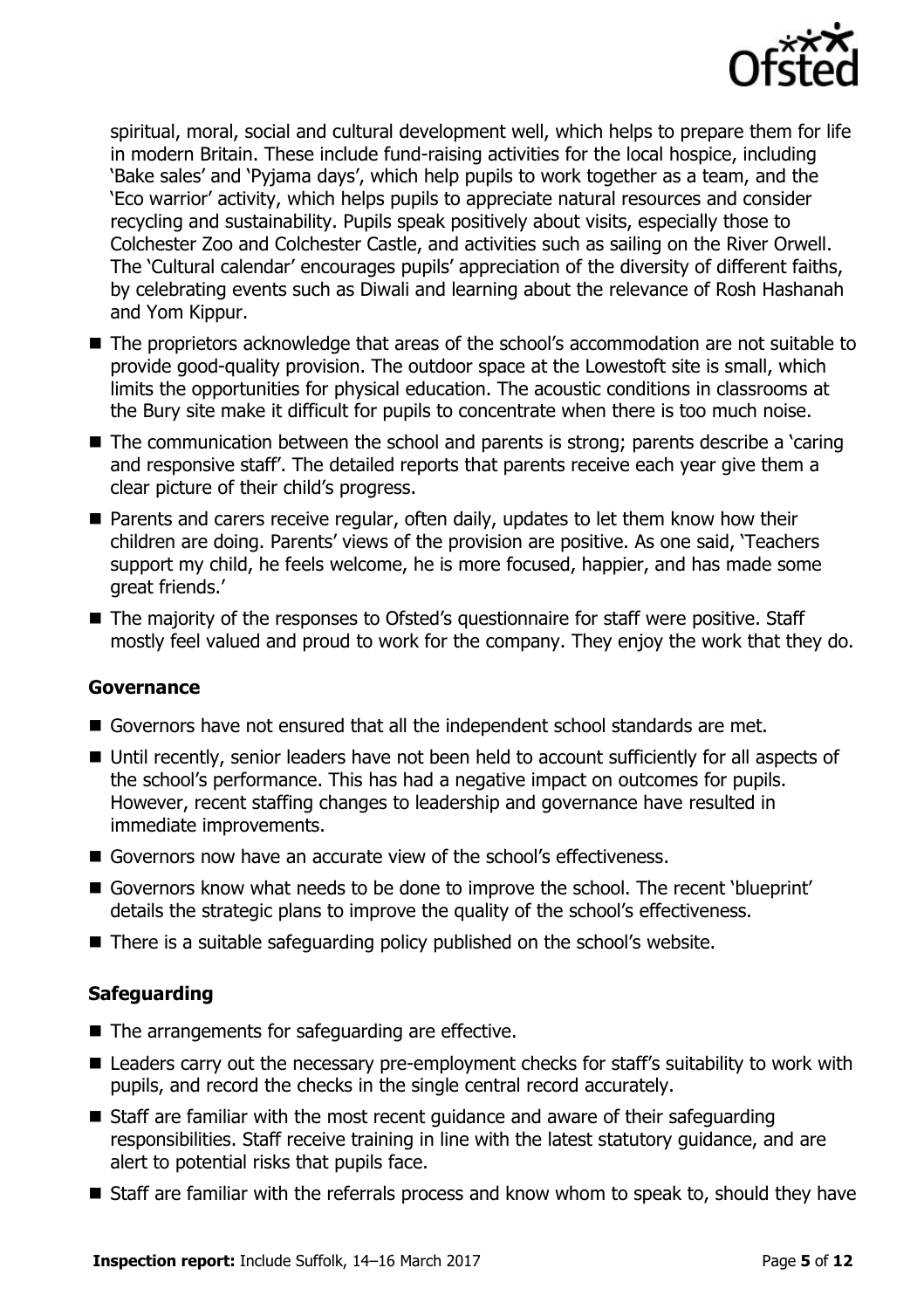

spiritual, moral, social and cultural development well, which helps to prepare them for life in modern Britain. These include fund-raising activities for the local hospice, including 'Bake sales' and 'Pyjama days', which help pupils to work together as a team, and the 'Eco warrior' activity, which helps pupils to appreciate natural resources and consider recycling and sustainability. Pupils speak positively about visits, especially those to Colchester Zoo and Colchester Castle, and activities such as sailing on the River Orwell. The 'Cultural calendar' encourages pupils' appreciation of the diversity of different faiths, by celebrating events such as Diwali and learning about the relevance of Rosh Hashanah and Yom Kippur.

- The proprietors acknowledge that areas of the school's accommodation are not suitable to provide good-quality provision. The outdoor space at the Lowestoft site is small, which limits the opportunities for physical education. The acoustic conditions in classrooms at the Bury site make it difficult for pupils to concentrate when there is too much noise.
- The communication between the school and parents is strong; parents describe a 'caring and responsive staff'. The detailed reports that parents receive each year give them a clear picture of their child's progress.
- **Parents and carers receive regular, often daily, updates to let them know how their** children are doing. Parents' views of the provision are positive. As one said, 'Teachers support my child, he feels welcome, he is more focused, happier, and has made some great friends.'
- The majority of the responses to Ofsted's questionnaire for staff were positive. Staff mostly feel valued and proud to work for the company. They enjoy the work that they do.

#### **Governance**

- Governors have not ensured that all the independent school standards are met.
- Until recently, senior leaders have not been held to account sufficiently for all aspects of the school's performance. This has had a negative impact on outcomes for pupils. However, recent staffing changes to leadership and governance have resulted in immediate improvements.
- Governors now have an accurate view of the school's effectiveness.
- Governors know what needs to be done to improve the school. The recent 'blueprint' details the strategic plans to improve the quality of the school's effectiveness.
- There is a suitable safequarding policy published on the school's website.

#### **Safeguarding**

- $\blacksquare$  The arrangements for safeguarding are effective.
- Leaders carry out the necessary pre-employment checks for staff's suitability to work with pupils, and record the checks in the single central record accurately.
- Staff are familiar with the most recent guidance and aware of their safeguarding responsibilities. Staff receive training in line with the latest statutory guidance, and are alert to potential risks that pupils face.
- Staff are familiar with the referrals process and know whom to speak to, should they have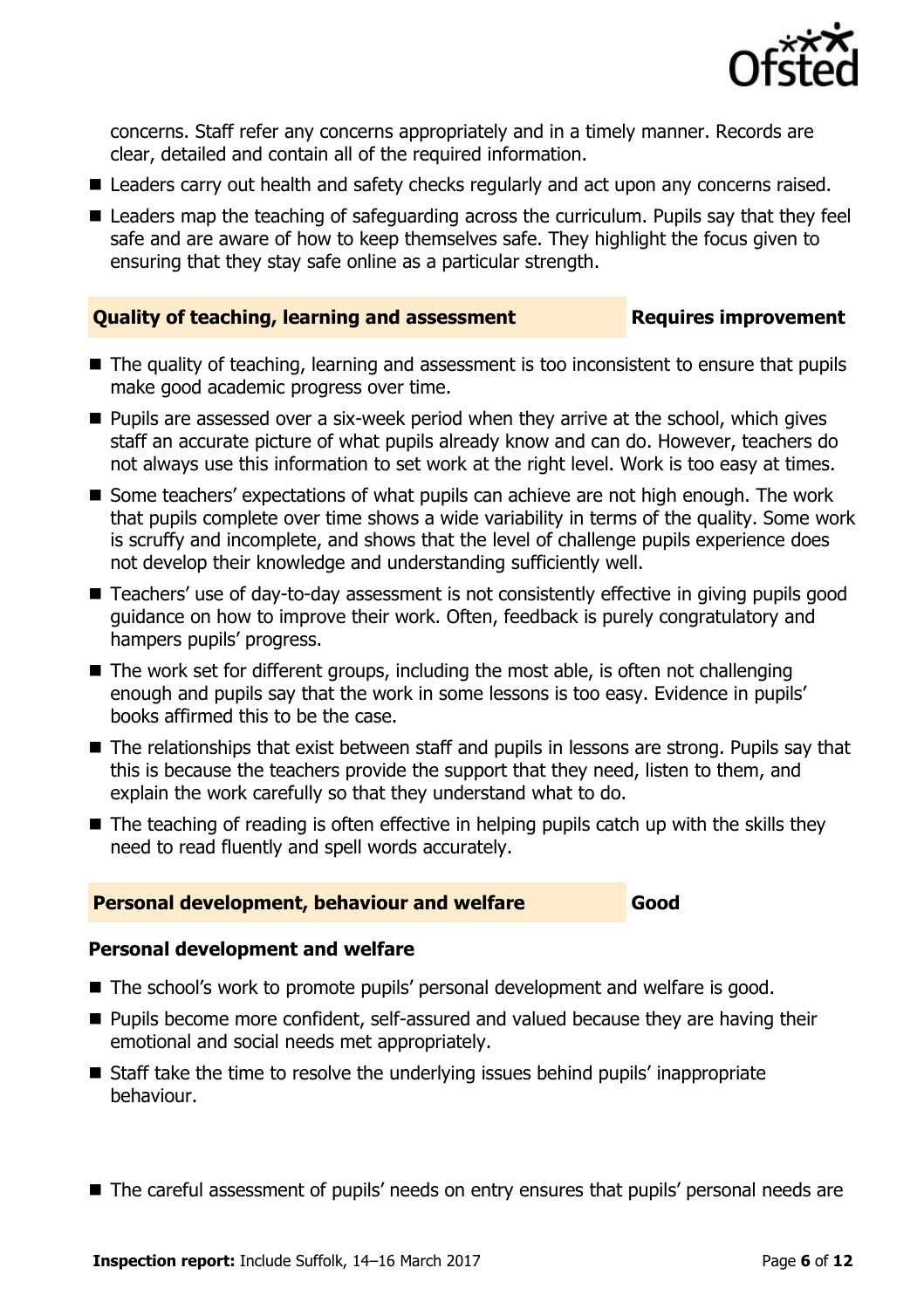

concerns. Staff refer any concerns appropriately and in a timely manner. Records are clear, detailed and contain all of the required information.

- Leaders carry out health and safety checks regularly and act upon any concerns raised.
- Leaders map the teaching of safeguarding across the curriculum. Pupils say that they feel safe and are aware of how to keep themselves safe. They highlight the focus given to ensuring that they stay safe online as a particular strength.

#### **Quality of teaching, learning and assessment <b>Requires improvement**

- The quality of teaching, learning and assessment is too inconsistent to ensure that pupils make good academic progress over time.
- Pupils are assessed over a six-week period when they arrive at the school, which gives staff an accurate picture of what pupils already know and can do. However, teachers do not always use this information to set work at the right level. Work is too easy at times.
- Some teachers' expectations of what pupils can achieve are not high enough. The work that pupils complete over time shows a wide variability in terms of the quality. Some work is scruffy and incomplete, and shows that the level of challenge pupils experience does not develop their knowledge and understanding sufficiently well.
- Teachers' use of day-to-day assessment is not consistently effective in giving pupils good guidance on how to improve their work. Often, feedback is purely congratulatory and hampers pupils' progress.
- $\blacksquare$  The work set for different groups, including the most able, is often not challenging enough and pupils say that the work in some lessons is too easy. Evidence in pupils' books affirmed this to be the case.
- The relationships that exist between staff and pupils in lessons are strong. Pupils say that this is because the teachers provide the support that they need, listen to them, and explain the work carefully so that they understand what to do.
- $\blacksquare$  The teaching of reading is often effective in helping pupils catch up with the skills they need to read fluently and spell words accurately.

#### **Personal development, behaviour and welfare Good**

#### **Personal development and welfare**

- The school's work to promote pupils' personal development and welfare is good.
- **Pupils become more confident, self-assured and valued because they are having their** emotional and social needs met appropriately.
- Staff take the time to resolve the underlying issues behind pupils' inappropriate behaviour.
- The careful assessment of pupils' needs on entry ensures that pupils' personal needs are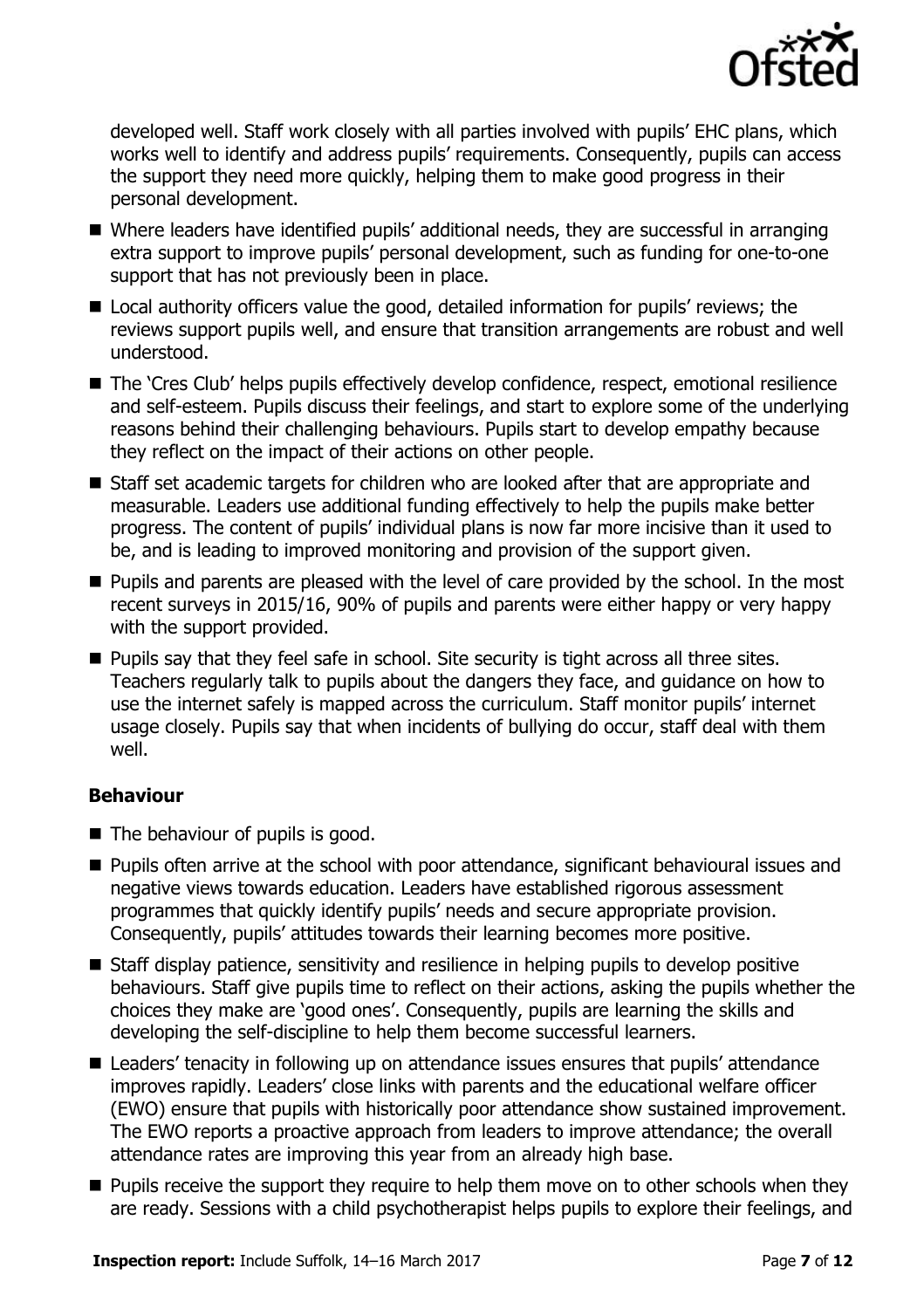

developed well. Staff work closely with all parties involved with pupils' EHC plans, which works well to identify and address pupils' requirements. Consequently, pupils can access the support they need more quickly, helping them to make good progress in their personal development.

- Where leaders have identified pupils' additional needs, they are successful in arranging extra support to improve pupils' personal development, such as funding for one-to-one support that has not previously been in place.
- Local authority officers value the good, detailed information for pupils' reviews; the reviews support pupils well, and ensure that transition arrangements are robust and well understood.
- The 'Cres Club' helps pupils effectively develop confidence, respect, emotional resilience and self-esteem. Pupils discuss their feelings, and start to explore some of the underlying reasons behind their challenging behaviours. Pupils start to develop empathy because they reflect on the impact of their actions on other people.
- Staff set academic targets for children who are looked after that are appropriate and measurable. Leaders use additional funding effectively to help the pupils make better progress. The content of pupils' individual plans is now far more incisive than it used to be, and is leading to improved monitoring and provision of the support given.
- **Pupils and parents are pleased with the level of care provided by the school. In the most** recent surveys in 2015/16, 90% of pupils and parents were either happy or very happy with the support provided.
- **Pupils say that they feel safe in school. Site security is tight across all three sites.** Teachers regularly talk to pupils about the dangers they face, and guidance on how to use the internet safely is mapped across the curriculum. Staff monitor pupils' internet usage closely. Pupils say that when incidents of bullying do occur, staff deal with them well.

### **Behaviour**

- $\blacksquare$  The behaviour of pupils is good.
- **Pupils often arrive at the school with poor attendance, significant behavioural issues and** negative views towards education. Leaders have established rigorous assessment programmes that quickly identify pupils' needs and secure appropriate provision. Consequently, pupils' attitudes towards their learning becomes more positive.
- Staff display patience, sensitivity and resilience in helping pupils to develop positive behaviours. Staff give pupils time to reflect on their actions, asking the pupils whether the choices they make are 'good ones'. Consequently, pupils are learning the skills and developing the self-discipline to help them become successful learners.
- Leaders' tenacity in following up on attendance issues ensures that pupils' attendance improves rapidly. Leaders' close links with parents and the educational welfare officer (EWO) ensure that pupils with historically poor attendance show sustained improvement. The EWO reports a proactive approach from leaders to improve attendance; the overall attendance rates are improving this year from an already high base.
- **Pupils receive the support they require to help them move on to other schools when they** are ready. Sessions with a child psychotherapist helps pupils to explore their feelings, and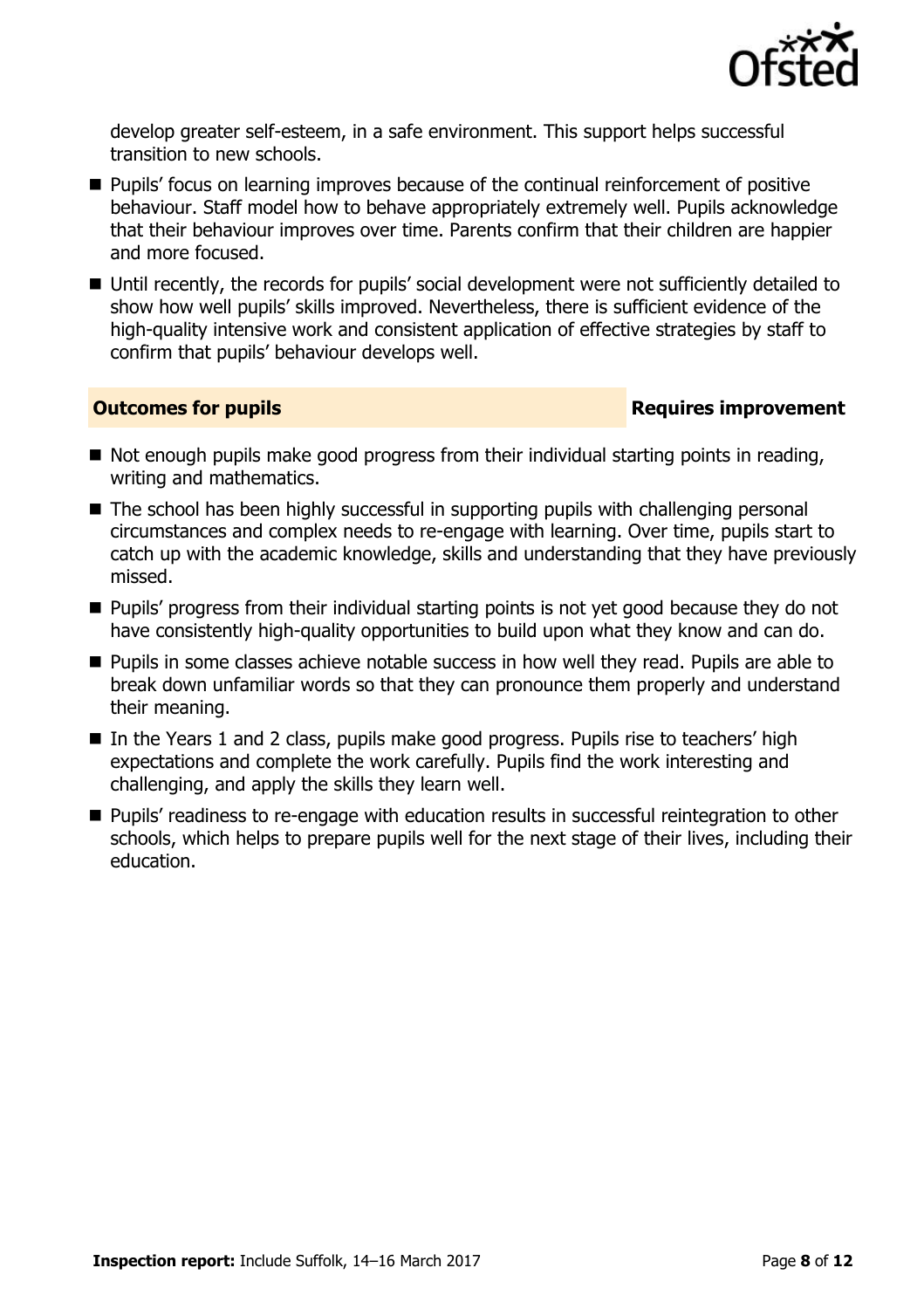

develop greater self-esteem, in a safe environment. This support helps successful transition to new schools.

- **Pupils'** focus on learning improves because of the continual reinforcement of positive behaviour. Staff model how to behave appropriately extremely well. Pupils acknowledge that their behaviour improves over time. Parents confirm that their children are happier and more focused.
- Until recently, the records for pupils' social development were not sufficiently detailed to show how well pupils' skills improved. Nevertheless, there is sufficient evidence of the high-quality intensive work and consistent application of effective strategies by staff to confirm that pupils' behaviour develops well.

### **Outcomes for pupils Requires improvement**

- Not enough pupils make good progress from their individual starting points in reading, writing and mathematics.
- The school has been highly successful in supporting pupils with challenging personal circumstances and complex needs to re-engage with learning. Over time, pupils start to catch up with the academic knowledge, skills and understanding that they have previously missed.
- **Pupils' progress from their individual starting points is not yet good because they do not** have consistently high-quality opportunities to build upon what they know and can do.
- **Pupils in some classes achieve notable success in how well they read. Pupils are able to** break down unfamiliar words so that they can pronounce them properly and understand their meaning.
- In the Years 1 and 2 class, pupils make good progress. Pupils rise to teachers' high expectations and complete the work carefully. Pupils find the work interesting and challenging, and apply the skills they learn well.
- **Pupils' readiness to re-engage with education results in successful reintegration to other** schools, which helps to prepare pupils well for the next stage of their lives, including their education.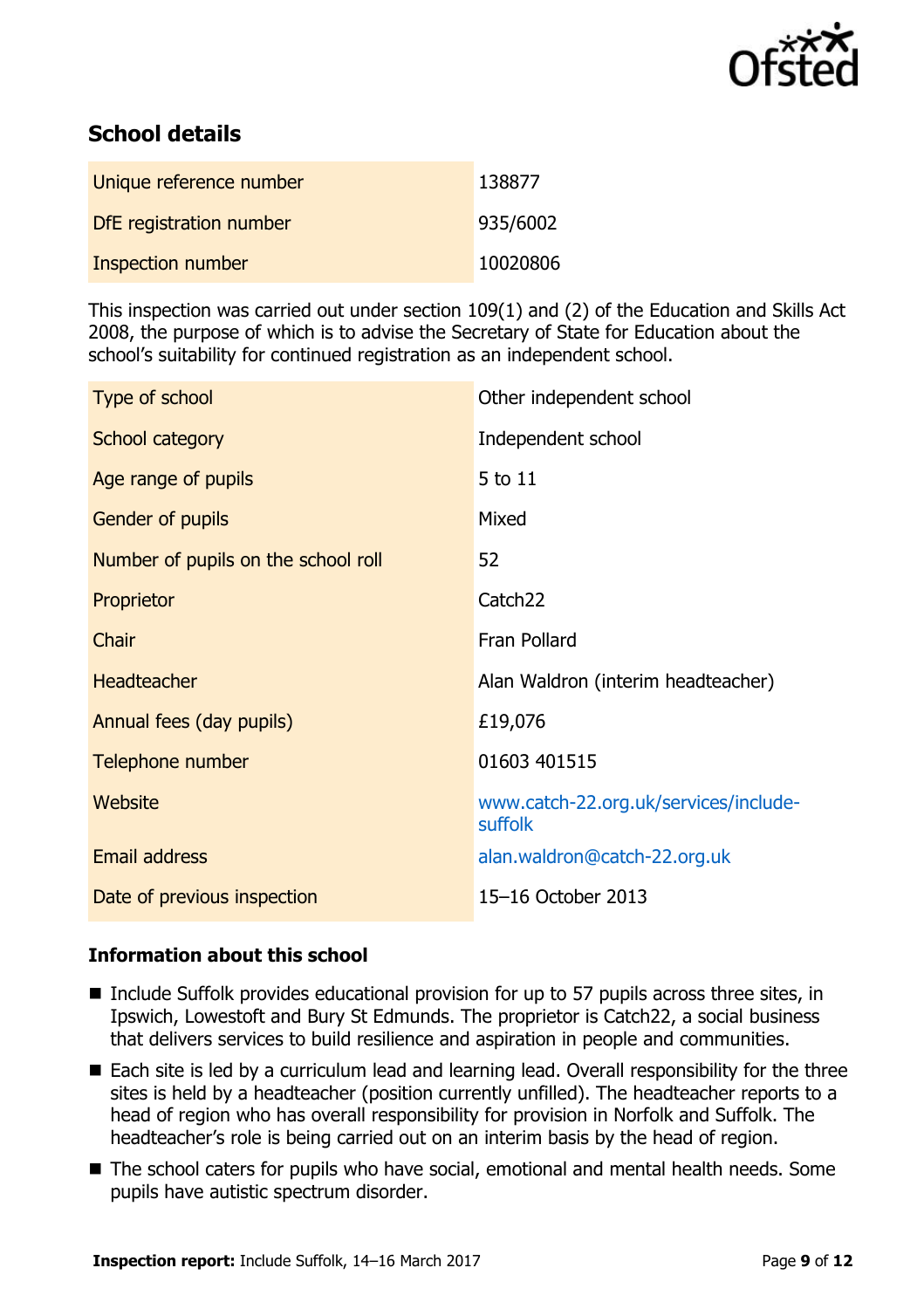

# **School details**

| Unique reference number  | 138877   |
|--------------------------|----------|
| DfE registration number  | 935/6002 |
| <b>Inspection number</b> | 10020806 |

This inspection was carried out under section 109(1) and (2) of the Education and Skills Act 2008, the purpose of which is to advise the Secretary of State for Education about the school's suitability for continued registration as an independent school.

| Type of school                      | Other independent school                         |
|-------------------------------------|--------------------------------------------------|
| School category                     | Independent school                               |
| Age range of pupils                 | 5 to 11                                          |
| Gender of pupils                    | Mixed                                            |
| Number of pupils on the school roll | 52                                               |
| Proprietor                          | Catch <sub>22</sub>                              |
| Chair                               | Fran Pollard                                     |
| <b>Headteacher</b>                  | Alan Waldron (interim headteacher)               |
| Annual fees (day pupils)            | £19,076                                          |
| Telephone number                    | 01603 401515                                     |
| <b>Website</b>                      | www.catch-22.org.uk/services/include-<br>suffolk |
| <b>Email address</b>                | alan.waldron@catch-22.org.uk                     |
| Date of previous inspection         | 15-16 October 2013                               |

#### **Information about this school**

- Include Suffolk provides educational provision for up to 57 pupils across three sites, in Ipswich, Lowestoft and Bury St Edmunds. The proprietor is Catch22, a social business that delivers services to build resilience and aspiration in people and communities.
- Each site is led by a curriculum lead and learning lead. Overall responsibility for the three sites is held by a headteacher (position currently unfilled). The headteacher reports to a head of region who has overall responsibility for provision in Norfolk and Suffolk. The headteacher's role is being carried out on an interim basis by the head of region.
- The school caters for pupils who have social, emotional and mental health needs. Some pupils have autistic spectrum disorder.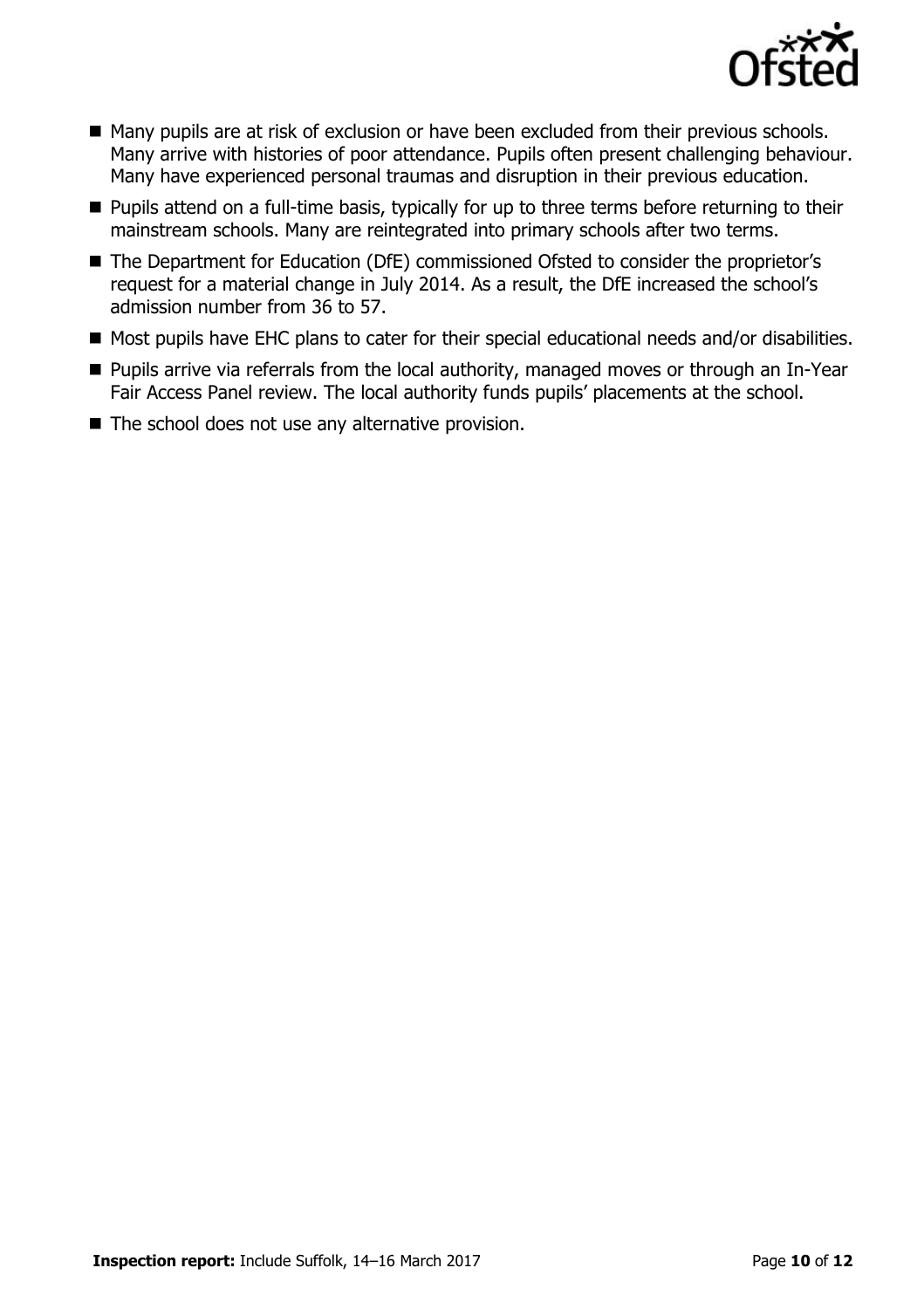

- Many pupils are at risk of exclusion or have been excluded from their previous schools. Many arrive with histories of poor attendance. Pupils often present challenging behaviour. Many have experienced personal traumas and disruption in their previous education.
- **Pupils attend on a full-time basis, typically for up to three terms before returning to their** mainstream schools. Many are reintegrated into primary schools after two terms.
- The Department for Education (DfE) commissioned Ofsted to consider the proprietor's request for a material change in July 2014. As a result, the DfE increased the school's admission number from 36 to 57.
- Most pupils have EHC plans to cater for their special educational needs and/or disabilities.
- **Pupils arrive via referrals from the local authority, managed moves or through an In-Year** Fair Access Panel review. The local authority funds pupils' placements at the school.
- $\blacksquare$  The school does not use any alternative provision.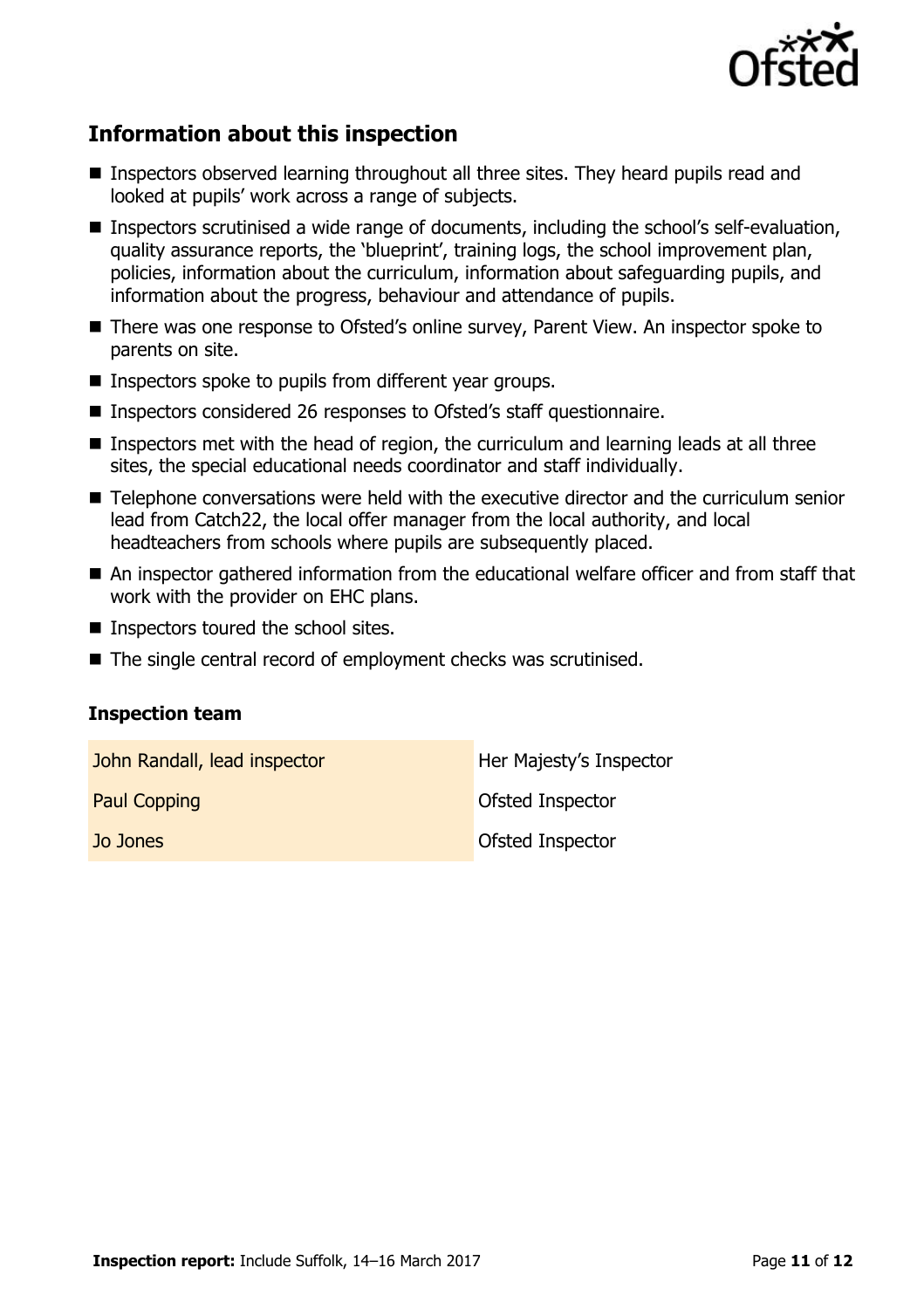

# **Information about this inspection**

- Inspectors observed learning throughout all three sites. They heard pupils read and looked at pupils' work across a range of subjects.
- Inspectors scrutinised a wide range of documents, including the school's self-evaluation, quality assurance reports, the 'blueprint', training logs, the school improvement plan, policies, information about the curriculum, information about safeguarding pupils, and information about the progress, behaviour and attendance of pupils.
- There was one response to Ofsted's online survey, Parent View. An inspector spoke to parents on site.
- $\blacksquare$  Inspectors spoke to pupils from different year groups.
- Inspectors considered 26 responses to Ofsted's staff questionnaire.
- Inspectors met with the head of region, the curriculum and learning leads at all three sites, the special educational needs coordinator and staff individually.
- Telephone conversations were held with the executive director and the curriculum senior lead from Catch22, the local offer manager from the local authority, and local headteachers from schools where pupils are subsequently placed.
- An inspector gathered information from the educational welfare officer and from staff that work with the provider on EHC plans.
- **Inspectors toured the school sites.**
- The single central record of employment checks was scrutinised.

#### **Inspection team**

| John Randall, lead inspector | Her Majesty's Inspector |
|------------------------------|-------------------------|
| <b>Paul Copping</b>          | <b>Ofsted Inspector</b> |
| Jo Jones                     | <b>Ofsted Inspector</b> |